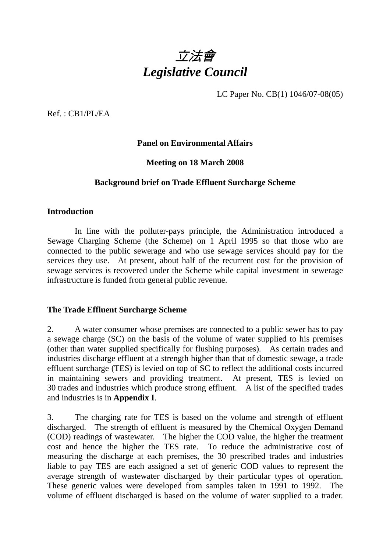

LC Paper No. CB(1) 1046/07-08(05)

Ref. : CB1/PL/EA

### **Panel on Environmental Affairs**

### **Meeting on 18 March 2008**

### **Background brief on Trade Effluent Surcharge Scheme**

#### **Introduction**

 In line with the polluter-pays principle, the Administration introduced a Sewage Charging Scheme (the Scheme) on 1 April 1995 so that those who are connected to the public sewerage and who use sewage services should pay for the services they use. At present, about half of the recurrent cost for the provision of sewage services is recovered under the Scheme while capital investment in sewerage infrastructure is funded from general public revenue.

#### **The Trade Effluent Surcharge Scheme**

2. A water consumer whose premises are connected to a public sewer has to pay a sewage charge (SC) on the basis of the volume of water supplied to his premises (other than water supplied specifically for flushing purposes). As certain trades and industries discharge effluent at a strength higher than that of domestic sewage, a trade effluent surcharge (TES) is levied on top of SC to reflect the additional costs incurred in maintaining sewers and providing treatment. At present, TES is levied on 30 trades and industries which produce strong effluent. A list of the specified trades and industries is in **Appendix I**.

3. The charging rate for TES is based on the volume and strength of effluent discharged. The strength of effluent is measured by the Chemical Oxygen Demand (COD) readings of wastewater. The higher the COD value, the higher the treatment cost and hence the higher the TES rate. To reduce the administrative cost of measuring the discharge at each premises, the 30 prescribed trades and industries liable to pay TES are each assigned a set of generic COD values to represent the average strength of wastewater discharged by their particular types of operation. These generic values were developed from samples taken in 1991 to 1992. The volume of effluent discharged is based on the volume of water supplied to a trader.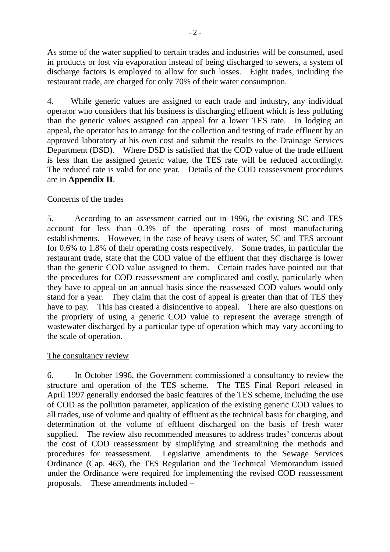As some of the water supplied to certain trades and industries will be consumed, used in products or lost via evaporation instead of being discharged to sewers, a system of discharge factors is employed to allow for such losses. Eight trades, including the restaurant trade, are charged for only 70% of their water consumption.

4. While generic values are assigned to each trade and industry, any individual operator who considers that his business is discharging effluent which is less polluting than the generic values assigned can appeal for a lower TES rate. In lodging an appeal, the operator has to arrange for the collection and testing of trade effluent by an approved laboratory at his own cost and submit the results to the Drainage Services Department (DSD). Where DSD is satisfied that the COD value of the trade effluent is less than the assigned generic value, the TES rate will be reduced accordingly. The reduced rate is valid for one year. Details of the COD reassessment procedures are in **Appendix II**.

# Concerns of the trades

5. According to an assessment carried out in 1996, the existing SC and TES account for less than 0.3% of the operating costs of most manufacturing establishments. However, in the case of heavy users of water, SC and TES account for 0.6% to 1.8% of their operating costs respectively. Some trades, in particular the restaurant trade, state that the COD value of the effluent that they discharge is lower than the generic COD value assigned to them. Certain trades have pointed out that the procedures for COD reassessment are complicated and costly, particularly when they have to appeal on an annual basis since the reassessed COD values would only stand for a year. They claim that the cost of appeal is greater than that of TES they have to pay. This has created a disincentive to appeal. There are also questions on the propriety of using a generic COD value to represent the average strength of wastewater discharged by a particular type of operation which may vary according to the scale of operation.

## The consultancy review

6. In October 1996, the Government commissioned a consultancy to review the structure and operation of the TES scheme. The TES Final Report released in April 1997 generally endorsed the basic features of the TES scheme, including the use of COD as the pollution parameter, application of the existing generic COD values to all trades, use of volume and quality of effluent as the technical basis for charging, and determination of the volume of effluent discharged on the basis of fresh water supplied. The review also recommended measures to address trades' concerns about the cost of COD reassessment by simplifying and streamlining the methods and procedures for reassessment. Legislative amendments to the Sewage Services Ordinance (Cap. 463), the TES Regulation and the Technical Memorandum issued under the Ordinance were required for implementing the revised COD reassessment proposals. These amendments included –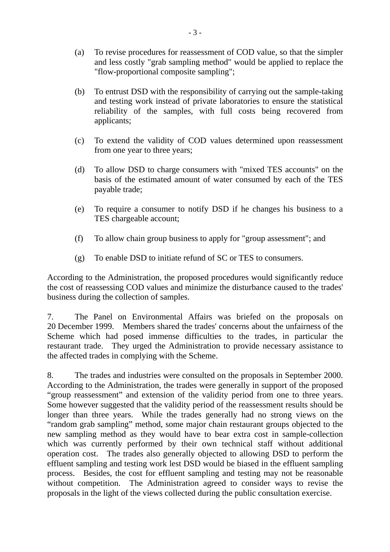- (a) To revise procedures for reassessment of COD value, so that the simpler and less costly "grab sampling method" would be applied to replace the "flow-proportional composite sampling";
- (b) To entrust DSD with the responsibility of carrying out the sample-taking and testing work instead of private laboratories to ensure the statistical reliability of the samples, with full costs being recovered from applicants;
- (c) To extend the validity of COD values determined upon reassessment from one year to three years;
- (d) To allow DSD to charge consumers with "mixed TES accounts" on the basis of the estimated amount of water consumed by each of the TES payable trade;
- (e) To require a consumer to notify DSD if he changes his business to a TES chargeable account;
- (f) To allow chain group business to apply for "group assessment"; and
- (g) To enable DSD to initiate refund of SC or TES to consumers.

According to the Administration, the proposed procedures would significantly reduce the cost of reassessing COD values and minimize the disturbance caused to the trades' business during the collection of samples.

7. The Panel on Environmental Affairs was briefed on the proposals on 20 December 1999. Members shared the trades' concerns about the unfairness of the Scheme which had posed immense difficulties to the trades, in particular the restaurant trade. They urged the Administration to provide necessary assistance to the affected trades in complying with the Scheme.

8. The trades and industries were consulted on the proposals in September 2000. According to the Administration, the trades were generally in support of the proposed "group reassessment" and extension of the validity period from one to three years. Some however suggested that the validity period of the reassessment results should be longer than three years. While the trades generally had no strong views on the "random grab sampling" method, some major chain restaurant groups objected to the new sampling method as they would have to bear extra cost in sample-collection which was currently performed by their own technical staff without additional operation cost. The trades also generally objected to allowing DSD to perform the effluent sampling and testing work lest DSD would be biased in the effluent sampling process. Besides, the cost for effluent sampling and testing may not be reasonable without competition. The Administration agreed to consider ways to revise the proposals in the light of the views collected during the public consultation exercise.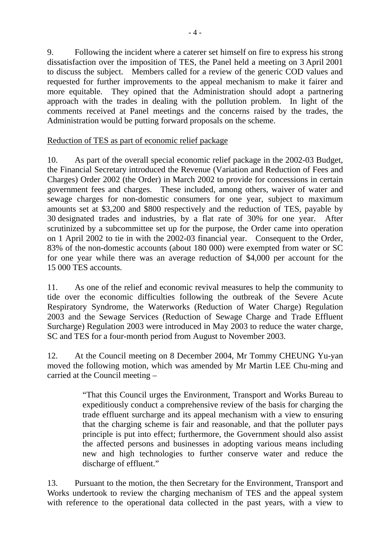9. Following the incident where a caterer set himself on fire to express his strong dissatisfaction over the imposition of TES, the Panel held a meeting on 3 April 2001 to discuss the subject. Members called for a review of the generic COD values and requested for further improvements to the appeal mechanism to make it fairer and more equitable. They opined that the Administration should adopt a partnering approach with the trades in dealing with the pollution problem. In light of the comments received at Panel meetings and the concerns raised by the trades, the Administration would be putting forward proposals on the scheme.

## Reduction of TES as part of economic relief package

10. As part of the overall special economic relief package in the 2002-03 Budget, the Financial Secretary introduced the Revenue (Variation and Reduction of Fees and Charges) Order 2002 (the Order) in March 2002 to provide for concessions in certain government fees and charges. These included, among others, waiver of water and sewage charges for non-domestic consumers for one year, subject to maximum amounts set at \$3,200 and \$800 respectively and the reduction of TES, payable by 30 designated trades and industries, by a flat rate of 30% for one year. After scrutinized by a subcommittee set up for the purpose, the Order came into operation on 1 April 2002 to tie in with the 2002-03 financial year. Consequent to the Order, 83% of the non-domestic accounts (about 180 000) were exempted from water or SC for one year while there was an average reduction of \$4,000 per account for the 15 000 TES accounts.

11. As one of the relief and economic revival measures to help the community to tide over the economic difficulties following the outbreak of the Severe Acute Respiratory Syndrome, the Waterworks (Reduction of Water Charge) Regulation 2003 and the Sewage Services (Reduction of Sewage Charge and Trade Effluent Surcharge) Regulation 2003 were introduced in May 2003 to reduce the water charge, SC and TES for a four-month period from August to November 2003.

12. At the Council meeting on 8 December 2004, Mr Tommy CHEUNG Yu-yan moved the following motion, which was amended by Mr Martin LEE Chu-ming and carried at the Council meeting –

> "That this Council urges the Environment, Transport and Works Bureau to expeditiously conduct a comprehensive review of the basis for charging the trade effluent surcharge and its appeal mechanism with a view to ensuring that the charging scheme is fair and reasonable, and that the polluter pays principle is put into effect; furthermore, the Government should also assist the affected persons and businesses in adopting various means including new and high technologies to further conserve water and reduce the discharge of effluent."

13. Pursuant to the motion, the then Secretary for the Environment, Transport and Works undertook to review the charging mechanism of TES and the appeal system with reference to the operational data collected in the past years, with a view to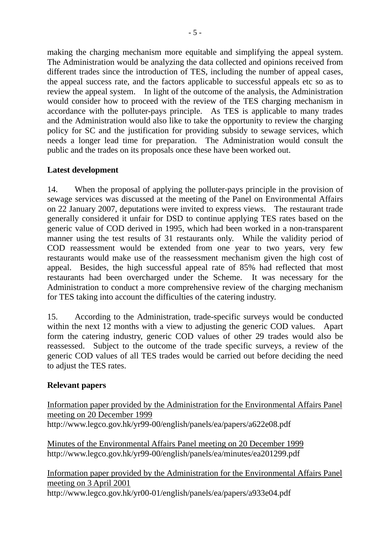making the charging mechanism more equitable and simplifying the appeal system. The Administration would be analyzing the data collected and opinions received from different trades since the introduction of TES, including the number of appeal cases, the appeal success rate, and the factors applicable to successful appeals etc so as to review the appeal system. In light of the outcome of the analysis, the Administration would consider how to proceed with the review of the TES charging mechanism in accordance with the polluter-pays principle. As TES is applicable to many trades and the Administration would also like to take the opportunity to review the charging policy for SC and the justification for providing subsidy to sewage services, which needs a longer lead time for preparation. The Administration would consult the public and the trades on its proposals once these have been worked out.

## **Latest development**

14. When the proposal of applying the polluter-pays principle in the provision of sewage services was discussed at the meeting of the Panel on Environmental Affairs on 22 January 2007, deputations were invited to express views. The restaurant trade generally considered it unfair for DSD to continue applying TES rates based on the generic value of COD derived in 1995, which had been worked in a non-transparent manner using the test results of 31 restaurants only. While the validity period of COD reassessment would be extended from one year to two years, very few restaurants would make use of the reassessment mechanism given the high cost of appeal. Besides, the high successful appeal rate of 85% had reflected that most restaurants had been overcharged under the Scheme. It was necessary for the Administration to conduct a more comprehensive review of the charging mechanism for TES taking into account the difficulties of the catering industry.

15. According to the Administration, trade-specific surveys would be conducted within the next 12 months with a view to adjusting the generic COD values. Apart form the catering industry, generic COD values of other 29 trades would also be reassessed. Subject to the outcome of the trade specific surveys, a review of the generic COD values of all TES trades would be carried out before deciding the need to adjust the TES rates.

# **Relevant papers**

Information paper provided by the Administration for the Environmental Affairs Panel meeting on 20 December 1999 http://www.legco.gov.hk/yr99-00/english/panels/ea/papers/a622e08.pdf

Minutes of the Environmental Affairs Panel meeting on 20 December 1999 http://www.legco.gov.hk/yr99-00/english/panels/ea/minutes/ea201299.pdf

Information paper provided by the Administration for the Environmental Affairs Panel meeting on 3 April 2001 http://www.legco.gov.hk/yr00-01/english/panels/ea/papers/a933e04.pdf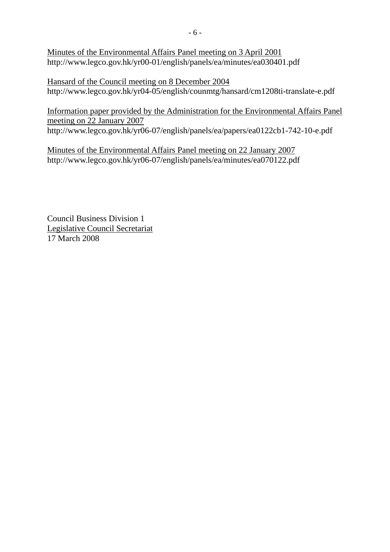Minutes of the Environmental Affairs Panel meeting on 3 April 2001 http://www.legco.gov.hk/yr00-01/english/panels/ea/minutes/ea030401.pdf

Hansard of the Council meeting on 8 December 2004 http://www.legco.gov.hk/yr04-05/english/counmtg/hansard/cm1208ti-translate-e.pdf

Information paper provided by the Administration for the Environmental Affairs Panel meeting on 22 January 2007

http://www.legco.gov.hk/yr06-07/english/panels/ea/papers/ea0122cb1-742-10-e.pdf

Minutes of the Environmental Affairs Panel meeting on 22 January 2007 http://www.legco.gov.hk/yr06-07/english/panels/ea/minutes/ea070122.pdf

Council Business Division 1 Legislative Council Secretariat 17 March 2008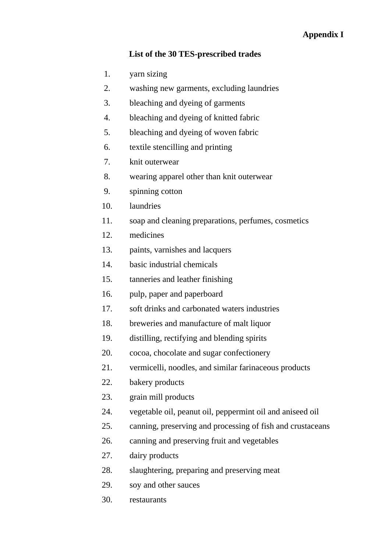# **Appendix I**

#### **List of the 30 TES-prescribed trades**

- 1. yarn sizing
- 2. washing new garments, excluding laundries
- 3. bleaching and dyeing of garments
- 4. bleaching and dyeing of knitted fabric
- 5. bleaching and dyeing of woven fabric
- 6. textile stencilling and printing
- 7. knit outerwear
- 8. wearing apparel other than knit outerwear
- 9. spinning cotton
- 10. laundries
- 11. soap and cleaning preparations, perfumes, cosmetics
- 12. medicines
- 13. paints, varnishes and lacquers
- 14. basic industrial chemicals
- 15. tanneries and leather finishing
- 16. pulp, paper and paperboard
- 17. soft drinks and carbonated waters industries
- 18. breweries and manufacture of malt liquor
- 19. distilling, rectifying and blending spirits
- 20. cocoa, chocolate and sugar confectionery
- 21. vermicelli, noodles, and similar farinaceous products
- 22. bakery products
- 23. grain mill products
- 24. vegetable oil, peanut oil, peppermint oil and aniseed oil
- 25. canning, preserving and processing of fish and crustaceans
- 26. canning and preserving fruit and vegetables
- 27. dairy products
- 28. slaughtering, preparing and preserving meat
- 29. soy and other sauces
- 30. restaurants